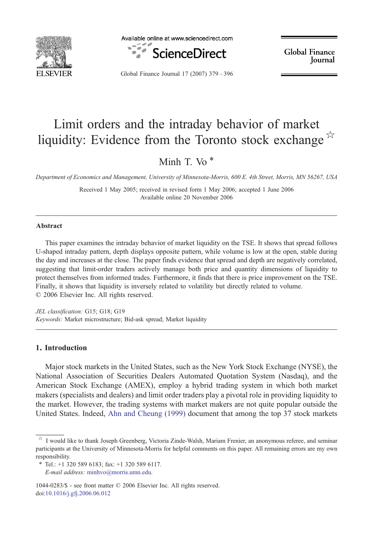

Available online at www.sciencedirect.com



Global Finance Journal

Global Finance Journal 17 (2007) 379–396

## Limit orders and the intraday behavior of market liquidity: Evidence from the Toronto stock exchange  $\overline{x}$

Minh T. Vo $*$ 

Department of Economics and Management, University of Minnesota-Morris, 600 E. 4th Street, Morris, MN 56267, USA

Received 1 May 2005; received in revised form 1 May 2006; accepted 1 June 2006 Available online 20 November 2006

## Abstract

This paper examines the intraday behavior of market liquidity on the TSE. It shows that spread follows U-shaped intraday pattern, depth displays opposite pattern, while volume is low at the open, stable during the day and increases at the close. The paper finds evidence that spread and depth are negatively correlated, suggesting that limit-order traders actively manage both price and quantity dimensions of liquidity to protect themselves from informed trades. Furthermore, it finds that there is price improvement on the TSE. Finally, it shows that liquidity is inversely related to volatility but directly related to volume. © 2006 Elsevier Inc. All rights reserved.

JEL classification: G15; G18; G19 Keywords: Market microstructure; Bid-ask spread; Market liquidity

## 1. Introduction

Major stock markets in the United States, such as the New York Stock Exchange (NYSE), the National Association of Securities Dealers Automated Quotation System (Nasdaq), and the American Stock Exchange (AMEX), employ a hybrid trading system in which both market makers (specialists and dealers) and limit order traders play a pivotal role in providing liquidity to the market. However, the trading systems with market makers are not quite popular outside the United States. Indeed, [Ahn and Cheung \(1999\)](#page--1-0) document that among the top 37 stock markets

1044-0283/\$ - see front matter © 2006 Elsevier Inc. All rights reserved. doi:[10.1016/j.gfj.2006.06.012](http://dx.doi.org/10.1016/j.gfj.2006.06.012)

<sup>☆</sup> I would like to thank Joseph Greenberg, Victoria Zinde-Walsh, Mariam Frenier, an anonymous referee, and seminar participants at the University of Minnesota-Morris for helpful comments on this paper. All remaining errors are my own responsibility.

 $*$  Tel.: +1 320 589 6183; fax: +1 320 589 6117.

E-mail address: [minhvo@morris.umn.edu.](mailto:minhvo@morris.umn.edu)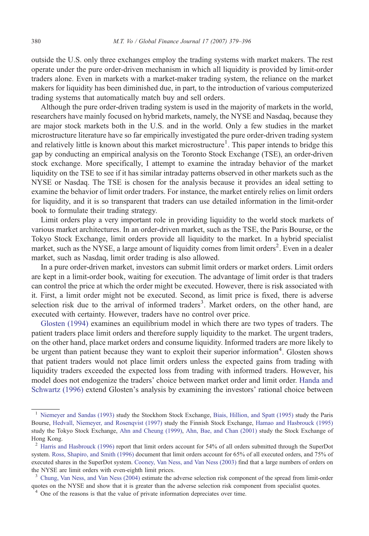outside the U.S. only three exchanges employ the trading systems with market makers. The rest operate under the pure order-driven mechanism in which all liquidity is provided by limit-order traders alone. Even in markets with a market-maker trading system, the reliance on the market makers for liquidity has been diminished due, in part, to the introduction of various computerized trading systems that automatically match buy and sell orders.

Although the pure order-driven trading system is used in the majority of markets in the world, researchers have mainly focused on hybrid markets, namely, the NYSE and Nasdaq, because they are major stock markets both in the U.S. and in the world. Only a few studies in the market microstructure literature have so far empirically investigated the pure order-driven trading system and relatively little is known about this market microstructure<sup>1</sup>. This paper intends to bridge this gap by conducting an empirical analysis on the Toronto Stock Exchange (TSE), an order-driven stock exchange. More specifically, I attempt to examine the intraday behavior of the market liquidity on the TSE to see if it has similar intraday patterns observed in other markets such as the NYSE or Nasdaq. The TSE is chosen for the analysis because it provides an ideal setting to examine the behavior of limit order traders. For instance, the market entirely relies on limit orders for liquidity, and it is so transparent that traders can use detailed information in the limit-order book to formulate their trading strategy.

Limit orders play a very important role in providing liquidity to the world stock markets of various market architectures. In an order-driven market, such as the TSE, the Paris Bourse, or the Tokyo Stock Exchange, limit orders provide all liquidity to the market. In a hybrid specialist market, such as the NYSE, a large amount of liquidity comes from limit orders<sup>2</sup>. Even in a dealer market, such as Nasdaq, limit order trading is also allowed.

In a pure order-driven market, investors can submit limit orders or market orders. Limit orders are kept in a limit-order book, waiting for execution. The advantage of limit order is that traders can control the price at which the order might be executed. However, there is risk associated with it. First, a limit order might not be executed. Second, as limit price is fixed, there is adverse selection risk due to the arrival of informed traders<sup>3</sup>. Market orders, on the other hand, are executed with certainty. However, traders have no control over price.

[Glosten \(1994\)](#page--1-0) examines an equilibrium model in which there are two types of traders. The patient traders place limit orders and therefore supply liquidity to the market. The urgent traders, on the other hand, place market orders and consume liquidity. Informed traders are more likely to be urgent than patient because they want to exploit their superior information<sup>4</sup>. Glosten shows that patient traders would not place limit orders unless the expected gains from trading with liquidity traders exceeded the expected loss from trading with informed traders. However, his model does not endogenize the traders' choice between market order and limit order. [Handa and](#page--1-0) [Schwartz \(1996\)](#page--1-0) extend Glosten's analysis by examining the investors' rational choice between

<sup>1</sup> [Niemeyer and Sandas \(1993\)](#page--1-0) study the Stockhom Stock Exchange, [Biais, Hillion, and Spatt \(1995\)](#page--1-0) study the Paris Bourse, [Hedvall, Niemeyer, and Rosenqvist \(1997\)](#page--1-0) study the Finnish Stock Exchange, [Hamao and Hasbrouck \(1995\)](#page--1-0) study the Tokyo Stock Exchange, [Ahn and Cheung \(1999\),](#page--1-0) [Ahn, Bae, and Chan \(2001\)](#page--1-0) study the Stock Exchange of Hong Kong.

<sup>&</sup>lt;sup>2</sup> [Harris and Hasbrouck \(1996\)](#page--1-0) report that limit orders account for 54% of all orders submitted through the SuperDot system. [Ross, Shapiro, and Smith \(1996\)](#page--1-0) document that limit orders account for 65% of all executed orders, and 75% of executed shares in the SuperDot system. [Cooney, Van Ness, and Van Ness \(2003\)](#page--1-0) find that a large numbers of orders on the NYSE are limit orders with even-eighth limit prices.

<sup>3</sup> [Chung, Van Ness, and Van Ness \(2004\)](#page--1-0) estimate the adverse selection risk component of the spread from limit-order quotes on the NYSE and show that it is greater than the adverse selection risk component from specialist quotes.

<sup>&</sup>lt;sup>4</sup> One of the reasons is that the value of private information depreciates over time.